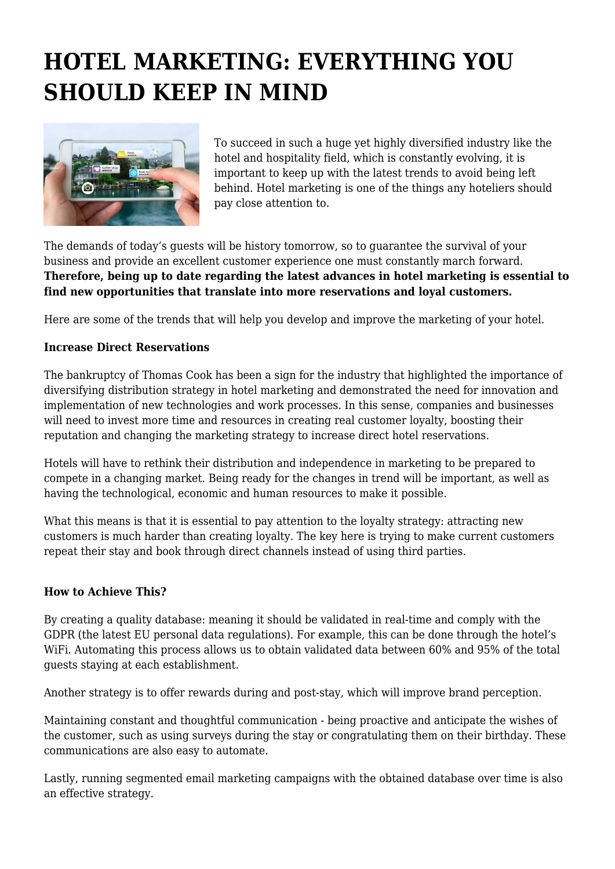# **HOTEL MARKETING: EVERYTHING YOU SHOULD KEEP IN MIND**



To succeed in such a huge yet highly diversified industry like the hotel and hospitality field, which is constantly evolving, it is important to keep up with the latest trends to avoid being left behind. Hotel marketing is one of the things any hoteliers should pay close attention to.

The demands of today's guests will be history tomorrow, so to guarantee the survival of your business and provide an excellent customer experience one must constantly march forward. **Therefore, being up to date regarding the latest advances in hotel marketing is essential to find new opportunities that translate into more reservations and loyal customers.**

Here are some of the trends that will help you develop and improve the marketing of your hotel.

## **Increase Direct Reservations**

The bankruptcy of Thomas Cook has been a sign for the industry that highlighted the importance of diversifying distribution strategy in hotel marketing and demonstrated the need for innovation and implementation of new technologies and work processes. In this sense, companies and businesses will need to invest more time and resources in creating real customer loyalty, boosting their reputation and changing the marketing strategy to increase direct hotel reservations.

Hotels will have to rethink their distribution and independence in marketing to be prepared to compete in a changing market. Being ready for the changes in trend will be important, as well as having the technological, economic and human resources to make it possible.

What this means is that it is essential to pay attention to the loyalty strategy: attracting new customers is much harder than creating loyalty. The key here is trying to make current customers repeat their stay and book through direct channels instead of using third parties.

### **How to Achieve This?**

By creating a quality database: meaning it should be validated in real-time and comply with the GDPR (the latest EU personal data regulations). For example, this can be done through the hotel's WiFi. Automating this process allows us to obtain validated data between 60% and 95% of the total guests staying at each establishment.

Another strategy is to offer rewards during and post-stay, which will improve brand perception.

Maintaining constant and thoughtful communication - being proactive and anticipate the wishes of the customer, such as using surveys during the stay or congratulating them on their birthday. These communications are also easy to automate.

Lastly, running segmented email marketing campaigns with the obtained database over time is also an effective strategy.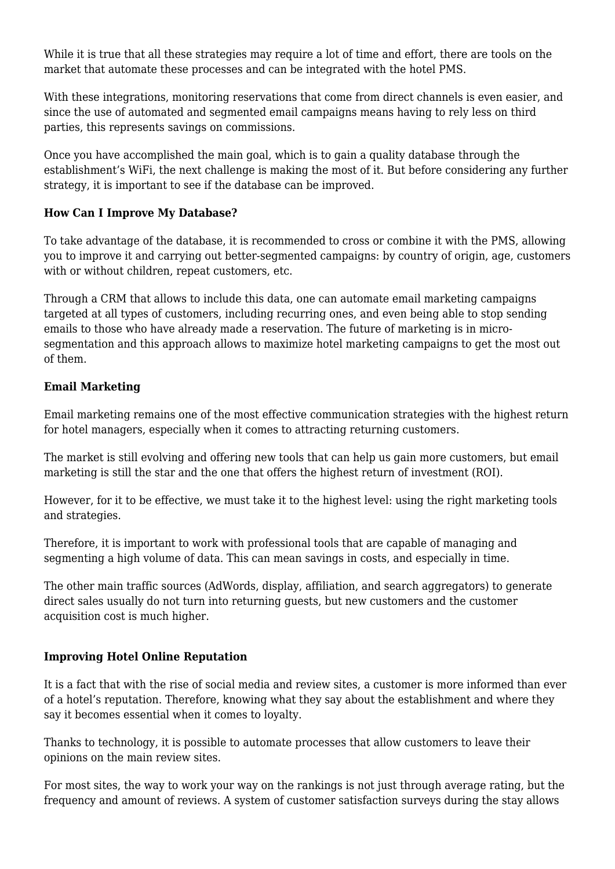While it is true that all these strategies may require a lot of time and effort, there are tools on the market that automate these processes and can be integrated with the hotel PMS.

With these integrations, monitoring reservations that come from direct channels is even easier, and since the use of automated and segmented email campaigns means having to rely less on third parties, this represents savings on commissions.

Once you have accomplished the main goal, which is to gain a quality database through the establishment's WiFi, the next challenge is making the most of it. But before considering any further strategy, it is important to see if the database can be improved.

# **How Can I Improve My Database?**

To take advantage of the database, it is recommended to cross or combine it with the PMS, allowing you to improve it and carrying out better-segmented campaigns: by country of origin, age, customers with or without children, repeat customers, etc.

Through a CRM that allows to include this data, one can automate email marketing campaigns targeted at all types of customers, including recurring ones, and even being able to stop sending emails to those who have already made a reservation. The future of marketing is in microsegmentation and this approach allows to maximize hotel marketing campaigns to get the most out of them.

## **Email Marketing**

Email marketing remains one of the most effective communication strategies with the highest return for hotel managers, especially when it comes to attracting returning customers.

The market is still evolving and offering new tools that can help us gain more customers, but email marketing is still the star and the one that offers the highest return of investment (ROI).

However, for it to be effective, we must take it to the highest level: using the right marketing tools and strategies.

Therefore, it is important to work with professional tools that are capable of managing and segmenting a high volume of data. This can mean savings in costs, and especially in time.

The other main traffic sources (AdWords, display, affiliation, and search aggregators) to generate direct sales usually do not turn into returning guests, but new customers and the customer acquisition cost is much higher.

### **Improving Hotel Online Reputation**

It is a fact that with the rise of social media and review sites, a customer is more informed than ever of a hotel's reputation. Therefore, knowing what they say about the establishment and where they say it becomes essential when it comes to loyalty.

Thanks to technology, it is possible to automate processes that allow customers to leave their opinions on the main review sites.

For most sites, the way to work your way on the rankings is not just through average rating, but the frequency and amount of reviews. A system of customer satisfaction surveys during the stay allows